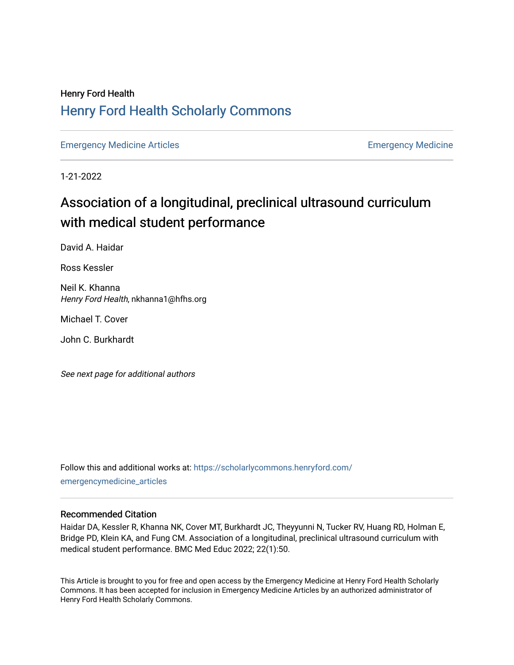## Henry Ford Health [Henry Ford Health Scholarly Commons](https://scholarlycommons.henryford.com/)

[Emergency Medicine Articles](https://scholarlycommons.henryford.com/emergencymedicine_articles) **Emergency Medicine** 

1-21-2022

# Association of a longitudinal, preclinical ultrasound curriculum with medical student performance

David A. Haidar

Ross Kessler

Neil K. Khanna Henry Ford Health, nkhanna1@hfhs.org

Michael T. Cover

John C. Burkhardt

See next page for additional authors

Follow this and additional works at: [https://scholarlycommons.henryford.com/](https://scholarlycommons.henryford.com/emergencymedicine_articles?utm_source=scholarlycommons.henryford.com%2Femergencymedicine_articles%2F261&utm_medium=PDF&utm_campaign=PDFCoverPages) [emergencymedicine\\_articles](https://scholarlycommons.henryford.com/emergencymedicine_articles?utm_source=scholarlycommons.henryford.com%2Femergencymedicine_articles%2F261&utm_medium=PDF&utm_campaign=PDFCoverPages) 

## Recommended Citation

Haidar DA, Kessler R, Khanna NK, Cover MT, Burkhardt JC, Theyyunni N, Tucker RV, Huang RD, Holman E, Bridge PD, Klein KA, and Fung CM. Association of a longitudinal, preclinical ultrasound curriculum with medical student performance. BMC Med Educ 2022; 22(1):50.

This Article is brought to you for free and open access by the Emergency Medicine at Henry Ford Health Scholarly Commons. It has been accepted for inclusion in Emergency Medicine Articles by an authorized administrator of Henry Ford Health Scholarly Commons.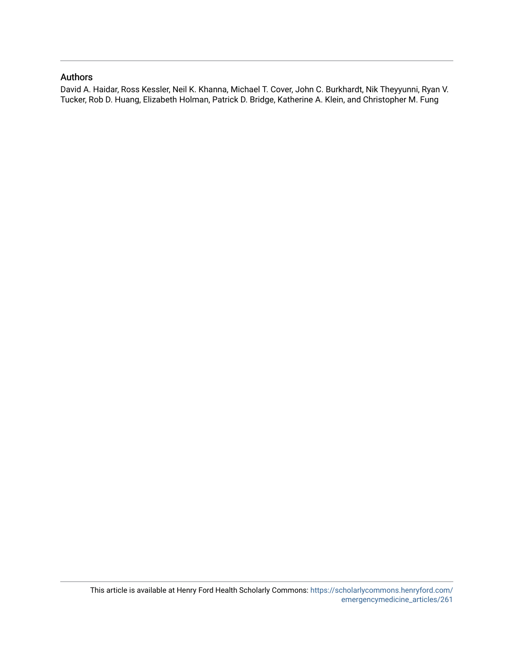## Authors

David A. Haidar, Ross Kessler, Neil K. Khanna, Michael T. Cover, John C. Burkhardt, Nik Theyyunni, Ryan V. Tucker, Rob D. Huang, Elizabeth Holman, Patrick D. Bridge, Katherine A. Klein, and Christopher M. Fung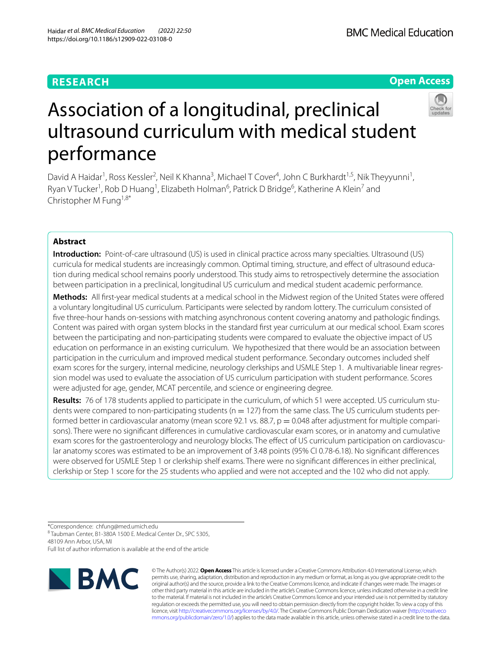## **RESEARCH**

## **Open Access**



# Association of a longitudinal, preclinical ultrasound curriculum with medical student performance

David A Haidar<sup>1</sup>, Ross Kessler<sup>2</sup>, Neil K Khanna<sup>3</sup>, Michael T Cover<sup>4</sup>, John C Burkhardt<sup>1,5</sup>, Nik Theyyunni<sup>1</sup>, Ryan V Tucker<sup>1</sup>, Rob D Huang<sup>1</sup>, Elizabeth Holman<sup>6</sup>, Patrick D Bridge<sup>6</sup>, Katherine A Klein<sup>7</sup> and Christopher M Fung1,8\*

## **Abstract**

**Introduction:** Point-of-care ultrasound (US) is used in clinical practice across many specialties. Ultrasound (US) curricula for medical students are increasingly common. Optimal timing, structure, and efect of ultrasound education during medical school remains poorly understood. This study aims to retrospectively determine the association between participation in a preclinical, longitudinal US curriculum and medical student academic performance.

**Methods:** All frst-year medical students at a medical school in the Midwest region of the United States were ofered a voluntary longitudinal US curriculum. Participants were selected by random lottery. The curriculum consisted of fve three-hour hands on-sessions with matching asynchronous content covering anatomy and pathologic fndings. Content was paired with organ system blocks in the standard frst year curriculum at our medical school. Exam scores between the participating and non-participating students were compared to evaluate the objective impact of US education on performance in an existing curriculum. We hypothesized that there would be an association between participation in the curriculum and improved medical student performance. Secondary outcomes included shelf exam scores for the surgery, internal medicine, neurology clerkships and USMLE Step 1. A multivariable linear regression model was used to evaluate the association of US curriculum participation with student performance. Scores were adjusted for age, gender, MCAT percentile, and science or engineering degree.

**Results:** 76 of 178 students applied to participate in the curriculum, of which 51 were accepted. US curriculum students were compared to non-participating students ( $n = 127$ ) from the same class. The US curriculum students performed better in cardiovascular anatomy (mean score 92.1 vs. 88.7,  $p = 0.048$  after adjustment for multiple comparisons). There were no signifcant diferences in cumulative cardiovascular exam scores, or in anatomy and cumulative exam scores for the gastroenterology and neurology blocks. The efect of US curriculum participation on cardiovascular anatomy scores was estimated to be an improvement of 3.48 points (95% CI 0.78-6.18). No signifcant diferences were observed for USMLE Step 1 or clerkship shelf exams. There were no signifcant diferences in either preclinical, clerkship or Step 1 score for the 25 students who applied and were not accepted and the 102 who did not apply.

\*Correspondence: chfung@med.umich.edu 8 Taubman Center, B1-380A 1500 E. Medical Center Dr., SPC 5305, 48109 Ann Arbor, USA, MI Full list of author information is available at the end of the article



© The Author(s) 2022. **Open Access** This article is licensed under a Creative Commons Attribution 4.0 International License, which permits use, sharing, adaptation, distribution and reproduction in any medium or format, as long as you give appropriate credit to the original author(s) and the source, provide a link to the Creative Commons licence, and indicate if changes were made. The images or other third party material in this article are included in the article's Creative Commons licence, unless indicated otherwise in a credit line to the material. If material is not included in the article's Creative Commons licence and your intended use is not permitted by statutory regulation or exceeds the permitted use, you will need to obtain permission directly from the copyright holder. To view a copy of this licence, visit [http://creativecommons.org/licenses/by/4.0/.](http://creativecommons.org/licenses/by/4.0/) The Creative Commons Public Domain Dedication waiver ([http://creativeco](http://creativecommons.org/publicdomain/zero/1.0/) [mmons.org/publicdomain/zero/1.0/](http://creativecommons.org/publicdomain/zero/1.0/)) applies to the data made available in this article, unless otherwise stated in a credit line to the data.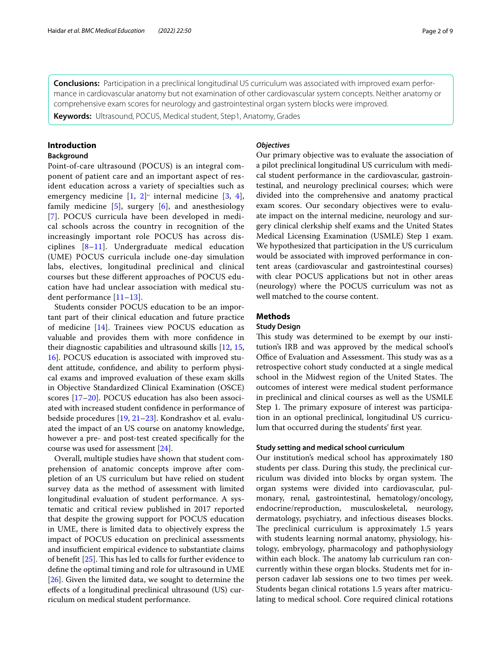**Conclusions:** Participation in a preclinical longitudinal US curriculum was associated with improved exam performance in cardiovascular anatomy but not examination of other cardiovascular system concepts. Neither anatomy or comprehensive exam scores for neurology and gastrointestinal organ system blocks were improved.

**Keywords:** Ultrasound, POCUS, Medical student, Step1, Anatomy, Grades

#### **Introduction**

#### **Background**

Point-of-care ultrasound (POCUS) is an integral component of patient care and an important aspect of resident education across a variety of specialties such as emergency medicine  $[1, 2]$  $[1, 2]$  $[1, 2]$ " internal medicine  $[3, 4]$  $[3, 4]$  $[3, 4]$  $[3, 4]$ , family medicine  $[5]$  $[5]$ , surgery  $[6]$  $[6]$ , and anesthesiology [[7](#page-10-4)]. POCUS curricula have been developed in medical schools across the country in recognition of the increasingly important role POCUS has across disciplines [[8–](#page-10-5)[11\]](#page-10-6). Undergraduate medical education (UME) POCUS curricula include one-day simulation labs, electives, longitudinal preclinical and clinical courses but these diferent approaches of POCUS education have had unclear association with medical student performance [[11–](#page-10-6)[13](#page-10-7)].

Students consider POCUS education to be an important part of their clinical education and future practice of medicine [\[14](#page-10-8)]. Trainees view POCUS education as valuable and provides them with more confdence in their diagnostic capabilities and ultrasound skills [[12](#page-10-9), [15](#page-10-10), [16\]](#page-10-11). POCUS education is associated with improved student attitude, confdence, and ability to perform physical exams and improved evaluation of these exam skills in Objective Standardized Clinical Examination (OSCE) scores [[17](#page-10-12)[–20](#page-10-13)]. POCUS education has also been associated with increased student confdence in performance of bedside procedures [\[19](#page-10-14), [21–](#page-10-15)[23\]](#page-10-16). Kondrashov et al. evaluated the impact of an US course on anatomy knowledge, however a pre- and post-test created specifcally for the course was used for assessment [\[24](#page-10-17)].

Overall, multiple studies have shown that student comprehension of anatomic concepts improve after completion of an US curriculum but have relied on student survey data as the method of assessment with limited longitudinal evaluation of student performance. A systematic and critical review published in 2017 reported that despite the growing support for POCUS education in UME, there is limited data to objectively express the impact of POCUS education on preclinical assessments and insufficient empirical evidence to substantiate claims of benefit  $[25]$  $[25]$  $[25]$ . This has led to calls for further evidence to defne the optimal timing and role for ultrasound in UME [[26\]](#page-10-19). Given the limited data, we sought to determine the efects of a longitudinal preclinical ultrasound (US) curriculum on medical student performance.

#### *Objectives*

Our primary objective was to evaluate the association of a pilot preclinical longitudinal US curriculum with medical student performance in the cardiovascular, gastrointestinal, and neurology preclinical courses; which were divided into the comprehensive and anatomy practical exam scores. Our secondary objectives were to evaluate impact on the internal medicine, neurology and surgery clinical clerkship shelf exams and the United States Medical Licensing Examination (USMLE) Step 1 exam. We hypothesized that participation in the US curriculum would be associated with improved performance in content areas (cardiovascular and gastrointestinal courses) with clear POCUS applications but not in other areas (neurology) where the POCUS curriculum was not as well matched to the course content.

#### **Methods**

#### **Study Design**

This study was determined to be exempt by our institution's IRB and was approved by the medical school's Office of Evaluation and Assessment. This study was as a retrospective cohort study conducted at a single medical school in the Midwest region of the United States. The outcomes of interest were medical student performance in preclinical and clinical courses as well as the USMLE Step 1. The primary exposure of interest was participation in an optional preclinical, longitudinal US curriculum that occurred during the students' frst year.

#### **Study setting and medical school curriculum**

Our institution's medical school has approximately 180 students per class. During this study, the preclinical curriculum was divided into blocks by organ system. The organ systems were divided into cardiovascular, pulmonary, renal, gastrointestinal, hematology/oncology, endocrine/reproduction, musculoskeletal, neurology, dermatology, psychiatry, and infectious diseases blocks. The preclinical curriculum is approximately 1.5 years with students learning normal anatomy, physiology, histology, embryology, pharmacology and pathophysiology within each block. The anatomy lab curriculum ran concurrently within these organ blocks. Students met for inperson cadaver lab sessions one to two times per week. Students began clinical rotations 1.5 years after matriculating to medical school. Core required clinical rotations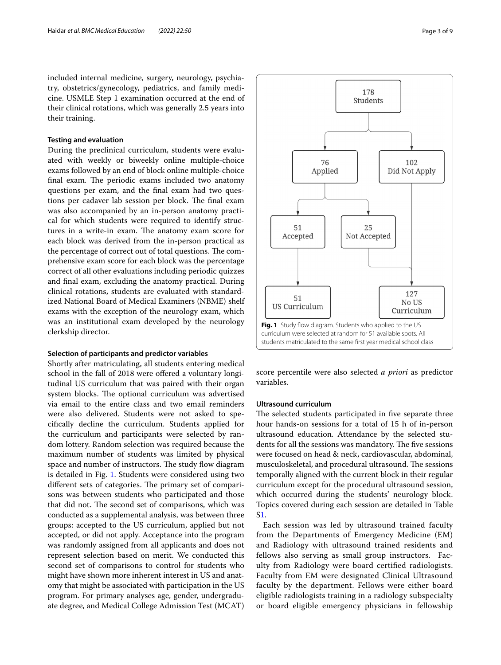included internal medicine, surgery, neurology, psychiatry, obstetrics/gynecology, pediatrics, and family medicine. USMLE Step 1 examination occurred at the end of their clinical rotations, which was generally 2.5 years into their training.

#### **Testing and evaluation**

During the preclinical curriculum, students were evaluated with weekly or biweekly online multiple-choice exams followed by an end of block online multiple-choice final exam. The periodic exams included two anatomy questions per exam, and the fnal exam had two questions per cadaver lab session per block. The final exam was also accompanied by an in-person anatomy practical for which students were required to identify structures in a write-in exam. The anatomy exam score for each block was derived from the in-person practical as the percentage of correct out of total questions. The comprehensive exam score for each block was the percentage correct of all other evaluations including periodic quizzes and fnal exam, excluding the anatomy practical. During clinical rotations, students are evaluated with standardized National Board of Medical Examiners (NBME) shelf exams with the exception of the neurology exam, which was an institutional exam developed by the neurology clerkship director.

#### **Selection of participants and predictor variables**

Shortly after matriculating, all students entering medical school in the fall of 2018 were ofered a voluntary longitudinal US curriculum that was paired with their organ system blocks. The optional curriculum was advertised via email to the entire class and two email reminders were also delivered. Students were not asked to specifcally decline the curriculum. Students applied for the curriculum and participants were selected by random lottery. Random selection was required because the maximum number of students was limited by physical space and number of instructors. The study flow diagram is detailed in Fig. [1.](#page-4-0) Students were considered using two different sets of categories. The primary set of comparisons was between students who participated and those that did not. The second set of comparisons, which was conducted as a supplemental analysis, was between three groups: accepted to the US curriculum, applied but not accepted, or did not apply. Acceptance into the program was randomly assigned from all applicants and does not represent selection based on merit. We conducted this second set of comparisons to control for students who might have shown more inherent interest in US and anatomy that might be associated with participation in the US program. For primary analyses age, gender, undergraduate degree, and Medical College Admission Test (MCAT)



<span id="page-4-0"></span>score percentile were also selected *a priori* as predictor variables.

#### **Ultrasound curriculum**

The selected students participated in five separate three hour hands-on sessions for a total of 15 h of in-person ultrasound education. Attendance by the selected students for all the sessions was mandatory. The five sessions were focused on head & neck, cardiovascular, abdominal, musculoskeletal, and procedural ultrasound. The sessions temporally aligned with the current block in their regular curriculum except for the procedural ultrasound session, which occurred during the students' neurology block. Topics covered during each session are detailed in Table S[1.](#page-9-2)

Each session was led by ultrasound trained faculty from the Departments of Emergency Medicine (EM) and Radiology with ultrasound trained residents and fellows also serving as small group instructors. Faculty from Radiology were board certifed radiologists. Faculty from EM were designated Clinical Ultrasound faculty by the department. Fellows were either board eligible radiologists training in a radiology subspecialty or board eligible emergency physicians in fellowship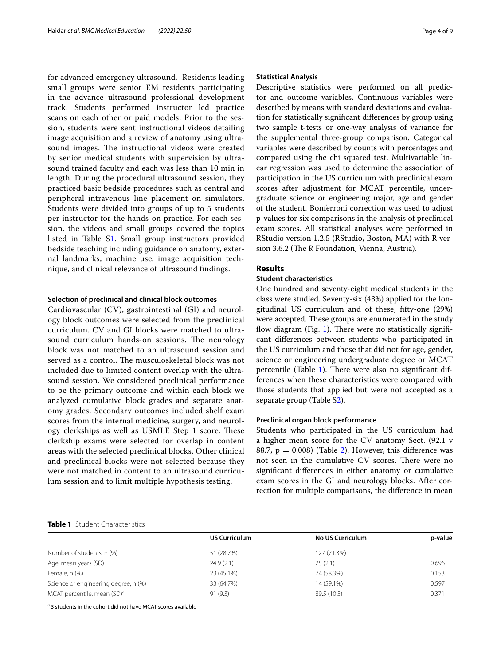for advanced emergency ultrasound. Residents leading small groups were senior EM residents participating in the advance ultrasound professional development track. Students performed instructor led practice scans on each other or paid models. Prior to the session, students were sent instructional videos detailing image acquisition and a review of anatomy using ultrasound images. The instructional videos were created by senior medical students with supervision by ultrasound trained faculty and each was less than 10 min in length. During the procedural ultrasound session, they practiced basic bedside procedures such as central and peripheral intravenous line placement on simulators. Students were divided into groups of up to 5 students per instructor for the hands-on practice. For each session, the videos and small groups covered the topics listed in Table S[1](#page-9-2). Small group instructors provided bedside teaching including guidance on anatomy, external landmarks, machine use, image acquisition technique, and clinical relevance of ultrasound fndings.

#### **Selection of preclinical and clinical block outcomes**

Cardiovascular (CV), gastrointestinal (GI) and neurology block outcomes were selected from the preclinical curriculum. CV and GI blocks were matched to ultrasound curriculum hands-on sessions. The neurology block was not matched to an ultrasound session and served as a control. The musculoskeletal block was not included due to limited content overlap with the ultrasound session. We considered preclinical performance to be the primary outcome and within each block we analyzed cumulative block grades and separate anatomy grades. Secondary outcomes included shelf exam scores from the internal medicine, surgery, and neurology clerkships as well as USMLE Step 1 score. These clerkship exams were selected for overlap in content areas with the selected preclinical blocks. Other clinical and preclinical blocks were not selected because they were not matched in content to an ultrasound curriculum session and to limit multiple hypothesis testing.

#### **Statistical Analysis**

Descriptive statistics were performed on all predictor and outcome variables. Continuous variables were described by means with standard deviations and evaluation for statistically signifcant diferences by group using two sample t-tests or one-way analysis of variance for the supplemental three-group comparison. Categorical variables were described by counts with percentages and compared using the chi squared test. Multivariable linear regression was used to determine the association of participation in the US curriculum with preclinical exam scores after adjustment for MCAT percentile, undergraduate science or engineering major, age and gender of the student. Bonferroni correction was used to adjust p-values for six comparisons in the analysis of preclinical exam scores. All statistical analyses were performed in RStudio version 1.2.5 (RStudio, Boston, MA) with R version 3.6.2 (The R Foundation, Vienna, Austria).

#### **Results**

#### **Student characteristics**

One hundred and seventy-eight medical students in the class were studied. Seventy-six (43%) applied for the longitudinal US curriculum and of these, ffty-one (29%) were accepted. These groups are enumerated in the study flow diagram (Fig. [1\)](#page-4-0). There were no statistically significant diferences between students who participated in the US curriculum and those that did not for age, gender, science or engineering undergraduate degree or MCAT percentile (Table [1\)](#page-5-0). There were also no significant differences when these characteristics were compared with those students that applied but were not accepted as a separate group (Table [S2](#page-9-2)).

#### **Preclinical organ block performance**

Students who participated in the US curriculum had a higher mean score for the CV anatomy Sect. (92.1 v 88.7,  $p = 0.008$ ) (Table [2\)](#page-6-0). However, this difference was not seen in the cumulative CV scores. There were no signifcant diferences in either anatomy or cumulative exam scores in the GI and neurology blocks. After correction for multiple comparisons, the diference in mean

#### <span id="page-5-0"></span>**Table 1** Student Characteristics

|                                         | <b>US Curriculum</b> | <b>No US Curriculum</b> | p-value |  |
|-----------------------------------------|----------------------|-------------------------|---------|--|
|                                         |                      |                         |         |  |
| Number of students, n (%)               | 51 (28.7%)           | 127 (71.3%)             |         |  |
| Age, mean years (SD)                    | 24.9(2.1)            | 25(2.1)                 | 0.696   |  |
| Female, n (%)                           | 23 (45.1%)           | 74 (58.3%)              | 0.153   |  |
| Science or engineering degree, n (%)    | 33 (64.7%)           | 14 (59.1%)              | 0.597   |  |
| MCAT percentile, mean (SD) <sup>a</sup> | 91(9.3)              | 89.5 (10.5)             | 0.371   |  |

<sup>a</sup> 3 students in the cohort did not have MCAT scores available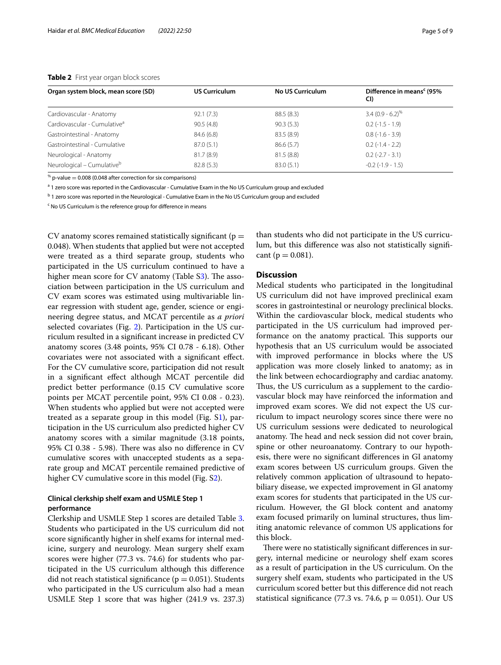<span id="page-6-0"></span>

| Organ system block, mean score (SD)      | <b>US Curriculum</b> | <b>No US Curriculum</b> | Difference in means <sup>c</sup> (95%)<br>CI) |
|------------------------------------------|----------------------|-------------------------|-----------------------------------------------|
| Cardiovascular - Anatomy                 | 92.1(7.3)            | 88.5(8.3)               | $3.4(0.9 - 6.2)^{\%}$                         |
| Cardiovascular - Cumulative <sup>a</sup> | 90.5(4.8)            | 90.3(5.3)               | $0.2$ ( $-1.5 - 1.9$ )                        |
| Gastrointestinal - Anatomy               | 84.6 (6.8)           | 83.5 (8.9)              | $0.8(-1.6 - 3.9)$                             |
| Gastrointestinal - Cumulative            | 87.0(5.1)            | 86.6(5.7)               | $0.2$ ( $-1.4 - 2.2$ )                        |
| Neurological - Anatomy                   | 81.7(8.9)            | 81.5(8.8)               | $0.2$ (-2.7 - 3.1)                            |
| Neurological - Cumulative <sup>b</sup>   | 82.8(5.3)            | 83.0(5.1)               | $-0.2$ ( $-1.9 - 1.5$ )                       |

 $\%$  p-value = 0.008 (0.048 after correction for six comparisons)

<sup>a</sup> 1 zero score was reported in the Cardiovascular - Cumulative Exam in the No US Curriculum group and excluded

<sup>b</sup> 1 zero score was reported in the Neurological - Cumulative Exam in the No US Curriculum group and excluded

<sup>c</sup> No US Curriculum is the reference group for difference in means

CV anatomy scores remained statistically significant ( $p =$ 0.048). When students that applied but were not accepted were treated as a third separate group, students who participated in the US curriculum continued to have a higher mean score for  $CV$  anatomy (Table  $S3$ ). The association between participation in the US curriculum and CV exam scores was estimated using multivariable linear regression with student age, gender, science or engineering degree status, and MCAT percentile as *a priori* selected covariates (Fig. [2](#page-7-0)). Participation in the US curriculum resulted in a signifcant increase in predicted CV anatomy scores (3.48 points, 95% CI 0.78 - 6.18). Other covariates were not associated with a signifcant efect. For the CV cumulative score, participation did not result in a signifcant efect although MCAT percentile did predict better performance (0.15 CV cumulative score points per MCAT percentile point, 95% CI 0.08 - 0.23). When students who applied but were not accepted were treated as a separate group in this model (Fig.  $S1$ ), participation in the US curriculum also predicted higher CV anatomy scores with a similar magnitude (3.18 points, 95% CI 0.38 - 5.98). There was also no difference in CV cumulative scores with unaccepted students as a separate group and MCAT percentile remained predictive of higher CV cumulative score in this model (Fig. S[2\)](#page-9-4).

### **Clinical clerkship shelf exam and USMLE Step 1 performance**

Clerkship and USMLE Step 1 scores are detailed Table [3](#page-9-5). Students who participated in the US curriculum did not score signifcantly higher in shelf exams for internal medicine, surgery and neurology. Mean surgery shelf exam scores were higher (77.3 vs. 74.6) for students who participated in the US curriculum although this diference did not reach statistical significance ( $p = 0.051$ ). Students who participated in the US curriculum also had a mean USMLE Step 1 score that was higher (241.9 vs. 237.3)

than students who did not participate in the US curriculum, but this diference was also not statistically signifcant ( $p = 0.081$ ).

#### **Discussion**

Medical students who participated in the longitudinal US curriculum did not have improved preclinical exam scores in gastrointestinal or neurology preclinical blocks. Within the cardiovascular block, medical students who participated in the US curriculum had improved performance on the anatomy practical. This supports our hypothesis that an US curriculum would be associated with improved performance in blocks where the US application was more closely linked to anatomy; as in the link between echocardiography and cardiac anatomy. Thus, the US curriculum as a supplement to the cardiovascular block may have reinforced the information and improved exam scores. We did not expect the US curriculum to impact neurology scores since there were no US curriculum sessions were dedicated to neurological anatomy. The head and neck session did not cover brain, spine or other neuroanatomy. Contrary to our hypothesis, there were no signifcant diferences in GI anatomy exam scores between US curriculum groups. Given the relatively common application of ultrasound to hepatobiliary disease, we expected improvement in GI anatomy exam scores for students that participated in the US curriculum. However, the GI block content and anatomy exam focused primarily on luminal structures, thus limiting anatomic relevance of common US applications for this block.

There were no statistically significant differences in surgery, internal medicine or neurology shelf exam scores as a result of participation in the US curriculum. On the surgery shelf exam, students who participated in the US curriculum scored better but this diference did not reach statistical significance (77.3 vs. 74.6,  $p = 0.051$ ). Our US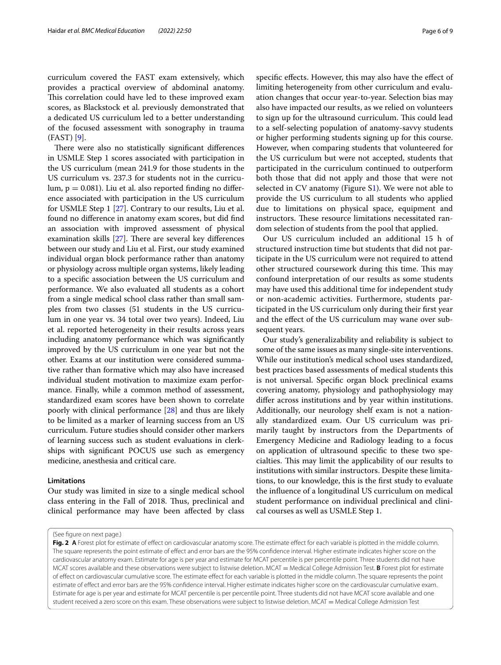curriculum covered the FAST exam extensively, which provides a practical overview of abdominal anatomy. This correlation could have led to these improved exam scores, as Blackstock et al. previously demonstrated that a dedicated US curriculum led to a better understanding of the focused assessment with sonography in trauma (FAST) [\[9](#page-10-20)].

There were also no statistically significant differences in USMLE Step 1 scores associated with participation in the US curriculum (mean 241.9 for those students in the US curriculum vs. 237.3 for students not in the curriculum,  $p = 0.081$ ). Liu et al. also reported finding no difference associated with participation in the US curriculum for USMLE Step 1 [\[27](#page-10-21)]. Contrary to our results, Liu et al. found no diference in anatomy exam scores, but did fnd an association with improved assessment of physical examination skills  $[27]$ . There are several key differences between our study and Liu et al. First, our study examined individual organ block performance rather than anatomy or physiology across multiple organ systems, likely leading to a specifc association between the US curriculum and performance. We also evaluated all students as a cohort from a single medical school class rather than small samples from two classes (51 students in the US curriculum in one year vs. 34 total over two years). Indeed, Liu et al. reported heterogeneity in their results across years including anatomy performance which was signifcantly improved by the US curriculum in one year but not the other. Exams at our institution were considered summative rather than formative which may also have increased individual student motivation to maximize exam performance. Finally, while a common method of assessment, standardized exam scores have been shown to correlate poorly with clinical performance [\[28\]](#page-10-22) and thus are likely to be limited as a marker of learning success from an US curriculum. Future studies should consider other markers of learning success such as student evaluations in clerkships with signifcant POCUS use such as emergency medicine, anesthesia and critical care.

#### **Limitations**

Our study was limited in size to a single medical school class entering in the Fall of 2018. Thus, preclinical and clinical performance may have been afected by class

specifc efects. However, this may also have the efect of limiting heterogeneity from other curriculum and evaluation changes that occur year-to-year. Selection bias may also have impacted our results, as we relied on volunteers to sign up for the ultrasound curriculum. This could lead to a self-selecting population of anatomy-savvy students or higher performing students signing up for this course. However, when comparing students that volunteered for the US curriculum but were not accepted, students that participated in the curriculum continued to outperform both those that did not apply and those that were not selected in CV anatomy (Figure S[1\)](#page-9-3). We were not able to provide the US curriculum to all students who applied due to limitations on physical space, equipment and instructors. These resource limitations necessitated random selection of students from the pool that applied.

Our US curriculum included an additional 15 h of structured instruction time but students that did not participate in the US curriculum were not required to attend other structured coursework during this time. This may confound interpretation of our results as some students may have used this additional time for independent study or non-academic activities. Furthermore, students participated in the US curriculum only during their frst year and the efect of the US curriculum may wane over subsequent years.

Our study's generalizability and reliability is subject to some of the same issues as many single-site interventions. While our institution's medical school uses standardized, best practices based assessments of medical students this is not universal. Specifc organ block preclinical exams covering anatomy, physiology and pathophysiology may difer across institutions and by year within institutions. Additionally, our neurology shelf exam is not a nationally standardized exam. Our US curriculum was primarily taught by instructors from the Departments of Emergency Medicine and Radiology leading to a focus on application of ultrasound specifc to these two specialties. This may limit the applicability of our results to institutions with similar instructors. Despite these limitations, to our knowledge, this is the frst study to evaluate the infuence of a longitudinal US curriculum on medical student performance on individual preclinical and clinical courses as well as USMLE Step 1.

(See fgure on next page.)

<span id="page-7-0"></span>Fig. 2 A Forest plot for estimate of effect on cardiovascular anatomy score. The estimate effect for each variable is plotted in the middle column. The square represents the point estimate of efect and error bars are the 95% confdence interval. Higher estimate indicates higher score on the cardiovascular anatomy exam. Estimate for age is per year and estimate for MCAT percentile is per percentile point. Three students did not have MCAT scores available and these observations were subject to listwise deletion. MCAT = Medical College Admission Test. **B** Forest plot for estimate of efect on cardiovascular cumulative score. The estimate efect for each variable is plotted in the middle column. The square represents the point estimate of efect and error bars are the 95% confdence interval. Higher estimate indicates higher score on the cardiovascular cumulative exam. Estimate for age is per year and estimate for MCAT percentile is per percentile point. Three students did not have MCAT score available and one student received a zero score on this exam. These observations were subject to listwise deletion. MCAT = Medical College Admission Test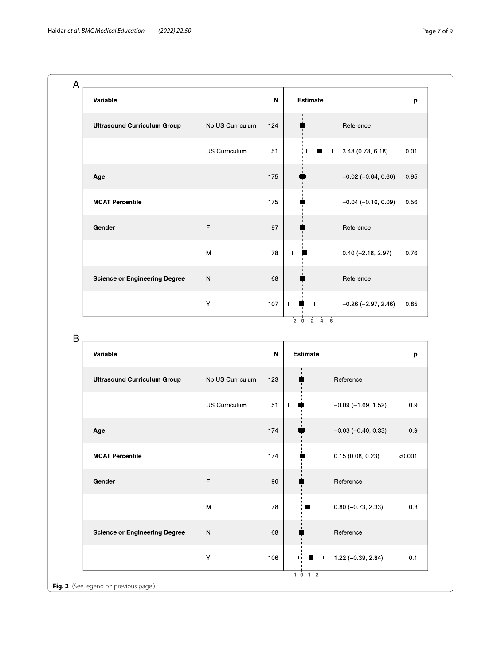| Variable                             |                  | N   | <b>Estimate</b>              |                              | p    |
|--------------------------------------|------------------|-----|------------------------------|------------------------------|------|
| <b>Ultrasound Curriculum Group</b>   | No US Curriculum | 124 | $\mathbf{I}$<br>$\mathbf{I}$ | Reference                    |      |
|                                      | US Curriculum    | 51  |                              | 3.48 (0.78, 6.18)            | 0.01 |
| Age                                  |                  | 175 |                              | $-0.02$ ( $-0.64$ , $0.60$ ) | 0.95 |
| <b>MCAT Percentile</b>               |                  | 175 |                              | $-0.04$ ( $-0.16$ , 0.09)    | 0.56 |
| Gender                               | $\mathsf F$      | 97  |                              | Reference                    |      |
|                                      | M                | 78  |                              | $0.40 (-2.18, 2.97)$         | 0.76 |
| <b>Science or Engineering Degree</b> | $\mathsf{N}$     | 68  |                              | Reference                    |      |
|                                      | Y                | 107 |                              | $-0.26$ ( $-2.97$ , 2.46)    | 0.85 |

B

| Variable |                                       |                      | N   | <b>Estimate</b> |                           | p       |
|----------|---------------------------------------|----------------------|-----|-----------------|---------------------------|---------|
|          | <b>Ultrasound Curriculum Group</b>    | No US Curriculum     | 123 |                 | Reference                 |         |
|          |                                       | <b>US Curriculum</b> | 51  |                 | $-0.09$ ( $-1.69$ , 1.52) | 0.9     |
| Age      |                                       |                      | 174 |                 | $-0.03$ ( $-0.40$ , 0.33) | 0.9     |
|          | <b>MCAT Percentile</b>                |                      | 174 |                 | 0.15(0.08, 0.23)          | < 0.001 |
| Gender   |                                       | F                    | 96  |                 | Reference                 |         |
|          |                                       | M                    | 78  |                 | $0.80 (-0.73, 2.33)$      | 0.3     |
|          | <b>Science or Engineering Degree</b>  | ${\sf N}$            | 68  |                 | Reference                 |         |
|          |                                       | Y                    | 106 |                 | $1.22(-0.39, 2.84)$       | 0.1     |
|          | Fig. 2 (See legend on previous page.) |                      |     | $-1$ 0 1 2      |                           |         |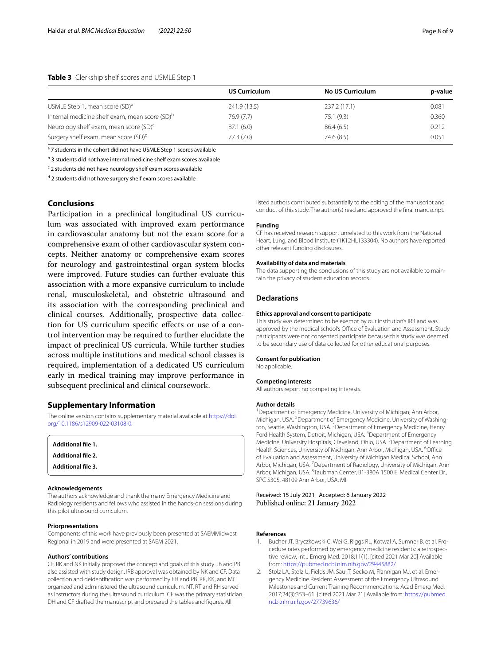#### <span id="page-9-5"></span>**Table 3** Clerkship shelf scores and USMLE Step 1

|                                                            | <b>US Curriculum</b> | <b>No US Curriculum</b> | p-value |
|------------------------------------------------------------|----------------------|-------------------------|---------|
| USMLE Step 1, mean score (SD) <sup>a</sup>                 | 241.9 (13.5)         | 237.2 (17.1)            | 0.081   |
| Internal medicine shelf exam, mean score (SD) <sup>b</sup> | 76.9(7.7)            | 75.1(9.3)               | 0.360   |
| Neurology shelf exam, mean score (SD) <sup>c</sup>         | 87.1(6.0)            | 86.4(6.5)               | 0.212   |
| Surgery shelf exam, mean score (SD) <sup>d</sup>           | 77.3(7.0)            | 74.6 (8.5)              | 0.051   |

<sup>a</sup> 7 students in the cohort did not have USMLE Step 1 scores available

<sup>b</sup> 3 students did not have internal medicine shelf exam scores available

<sup>c</sup> 2 students did not have neurology shelf exam scores available

<sup>d</sup> 2 students did not have surgery shelf exam scores available

#### **Conclusions**

Participation in a preclinical longitudinal US curriculum was associated with improved exam performance in cardiovascular anatomy but not the exam score for a comprehensive exam of other cardiovascular system concepts. Neither anatomy or comprehensive exam scores for neurology and gastrointestinal organ system blocks were improved. Future studies can further evaluate this association with a more expansive curriculum to include renal, musculoskeletal, and obstetric ultrasound and its association with the corresponding preclinical and clinical courses. Additionally, prospective data collection for US curriculum specifc efects or use of a control intervention may be required to further elucidate the impact of preclinical US curricula. While further studies across multiple institutions and medical school classes is required, implementation of a dedicated US curriculum early in medical training may improve performance in subsequent preclinical and clinical coursework.

#### **Supplementary Information**

The online version contains supplementary material available at [https://doi.](https://doi.org/10.1186/s12909-022-03108-0) [org/10.1186/s12909-022-03108-0](https://doi.org/10.1186/s12909-022-03108-0).

<span id="page-9-4"></span><span id="page-9-3"></span><span id="page-9-2"></span>

| Additional file 1.        |  |  |
|---------------------------|--|--|
| <b>Additional file 2.</b> |  |  |
| <b>Additional file 3.</b> |  |  |

#### **Acknowledgements**

The authors acknowledge and thank the many Emergency Medicine and Radiology residents and fellows who assisted in the hands-on sessions during this pilot ultrasound curriculum.

#### **Priorpresentations**

Components of this work have previously been presented at SAEMMidwest Regional in 2019 and were presented at SAEM 2021.

#### **Authors' contributions**

CF, RK and NK initially proposed the concept and goals of this study. JB and PB also assisted with study design. IRB approval was obtained by NK and CF. Data collection and deidentifcation was performed by EH and PB. RK, KK, and MC organized and administered the ultrasound curriculum. NT, RT and RH served as instructors during the ultrasound curriculum. CF was the primary statistician. DH and CF drafted the manuscript and prepared the tables and figures. All

listed authors contributed substantially to the editing of the manuscript and conduct of this study. The author(s) read and approved the fnal manuscript.

#### **Funding**

CF has received research support unrelated to this work from the National Heart, Lung, and Blood Institute (1K12HL133304). No authors have reported other relevant funding disclosures.

#### **Availability of data and materials**

The data supporting the conclusions of this study are not available to maintain the privacy of student education records.

#### **Declarations**

#### **Ethics approval and consent to participate**

This study was determined to be exempt by our institution's IRB and was approved by the medical school's Office of Evaluation and Assessment. Study participants were not consented participate because this study was deemed to be secondary use of data collected for other educational purposes.

#### **Consent for publication**

No applicable.

#### **Competing interests**

All authors report no competing interests.

#### **Author details**

<sup>1</sup> Department of Emergency Medicine, University of Michigan, Ann Arbor, Michigan, USA. <sup>2</sup> Department of Emergency Medicine, University of Washington, Seattle, Washington, USA.<sup>3</sup> Department of Emergency Medicine, Henry Ford Health System, Detroit, Michigan, USA. <sup>4</sup> Department of Emergency Medicine, University Hospitals, Cleveland, Ohio, USA.<sup>5</sup> Department of Learning Health Sciences, University of Michigan, Ann Arbor, Michigan, USA. <sup>6</sup>Office of Evaluation and Assessment, University of Michigan Medical School, Ann Arbor, Michigan, USA.<sup>7</sup> Department of Radiology, University of Michigan, Ann Arbor, Michigan, USA. <sup>8</sup>Taubman Center, B1-380A 1500 E. Medical Center Dr., SPC 5305, 48109 Ann Arbor, USA, MI.

Received: 15 July 2021 Accepted: 6 January 2022 Published online: 21 January 2022

#### **References**

- <span id="page-9-0"></span>1. Bucher JT, Bryczkowski C, Wei G, Riggs RL, Kotwal A, Sumner B, et al. Procedure rates performed by emergency medicine residents: a retrospective review. Int J Emerg Med. 2018;11(1). [cited 2021 Mar 20] Available from: <https://pubmed.ncbi.nlm.nih.gov/29445882/>
- <span id="page-9-1"></span>2. Stolz LA, Stolz U, Fields JM, Saul T, Secko M, Flannigan MJ, et al. Emergency Medicine Resident Assessment of the Emergency Ultrasound Milestones and Current Training Recommendations. Acad Emerg Med. 2017;24(3):353–61. [cited 2021 Mar 21] Available from: [https://pubmed.](https://pubmed.ncbi.nlm.nih.gov/27739636/) [ncbi.nlm.nih.gov/27739636/](https://pubmed.ncbi.nlm.nih.gov/27739636/)